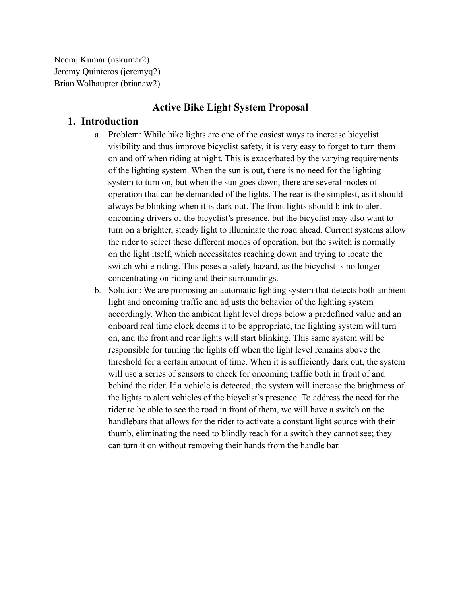Neeraj Kumar (nskumar2) Jeremy Quinteros (jeremyq2) Brian Wolhaupter (brianaw2)

# **Active Bike Light System Proposal**

# **1. Introduction**

- a. Problem: While bike lights are one of the easiest ways to increase bicyclist visibility and thus improve bicyclist safety, it is very easy to forget to turn them on and off when riding at night. This is exacerbated by the varying requirements of the lighting system. When the sun is out, there is no need for the lighting system to turn on, but when the sun goes down, there are several modes of operation that can be demanded of the lights. The rear is the simplest, as it should always be blinking when it is dark out. The front lights should blink to alert oncoming drivers of the bicyclist's presence, but the bicyclist may also want to turn on a brighter, steady light to illuminate the road ahead. Current systems allow the rider to select these different modes of operation, but the switch is normally on the light itself, which necessitates reaching down and trying to locate the switch while riding. This poses a safety hazard, as the bicyclist is no longer concentrating on riding and their surroundings.
- b. Solution: We are proposing an automatic lighting system that detects both ambient light and oncoming traffic and adjusts the behavior of the lighting system accordingly. When the ambient light level drops below a predefined value and an onboard real time clock deems it to be appropriate, the lighting system will turn on, and the front and rear lights will start blinking. This same system will be responsible for turning the lights off when the light level remains above the threshold for a certain amount of time. When it is sufficiently dark out, the system will use a series of sensors to check for oncoming traffic both in front of and behind the rider. If a vehicle is detected, the system will increase the brightness of the lights to alert vehicles of the bicyclist's presence. To address the need for the rider to be able to see the road in front of them, we will have a switch on the handlebars that allows for the rider to activate a constant light source with their thumb, eliminating the need to blindly reach for a switch they cannot see; they can turn it on without removing their hands from the handle bar.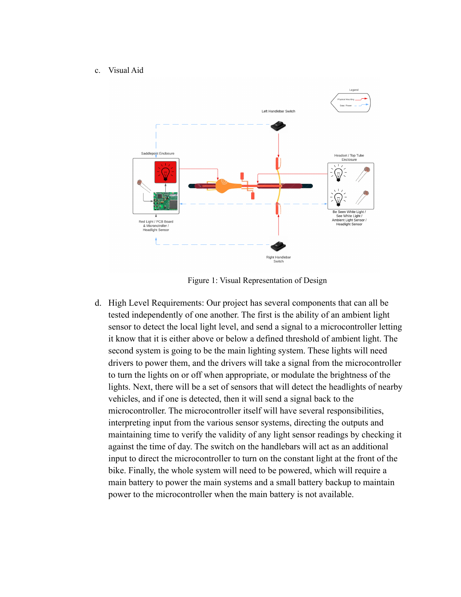#### c. Visual Aid



Figure 1: Visual Representation of Design

d. High Level Requirements: Our project has several components that can all be tested independently of one another. The first is the ability of an ambient light sensor to detect the local light level, and send a signal to a microcontroller letting it know that it is either above or below a defined threshold of ambient light. The second system is going to be the main lighting system. These lights will need drivers to power them, and the drivers will take a signal from the microcontroller to turn the lights on or off when appropriate, or modulate the brightness of the lights. Next, there will be a set of sensors that will detect the headlights of nearby vehicles, and if one is detected, then it will send a signal back to the microcontroller. The microcontroller itself will have several responsibilities, interpreting input from the various sensor systems, directing the outputs and maintaining time to verify the validity of any light sensor readings by checking it against the time of day. The switch on the handlebars will act as an additional input to direct the microcontroller to turn on the constant light at the front of the bike. Finally, the whole system will need to be powered, which will require a main battery to power the main systems and a small battery backup to maintain power to the microcontroller when the main battery is not available.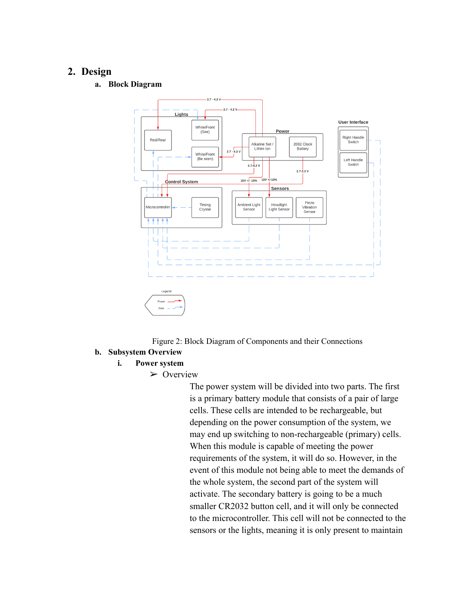## **2. Design**

**a. Block Diagram**



Figure 2: Block Diagram of Components and their Connections

### **b. Subsystem Overview**

#### **i. Power system**

➢ Overview

The power system will be divided into two parts. The first is a primary battery module that consists of a pair of large cells. These cells are intended to be rechargeable, but depending on the power consumption of the system, we may end up switching to non-rechargeable (primary) cells. When this module is capable of meeting the power requirements of the system, it will do so. However, in the event of this module not being able to meet the demands of the whole system, the second part of the system will activate. The secondary battery is going to be a much smaller CR2032 button cell, and it will only be connected to the microcontroller. This cell will not be connected to the sensors or the lights, meaning it is only present to maintain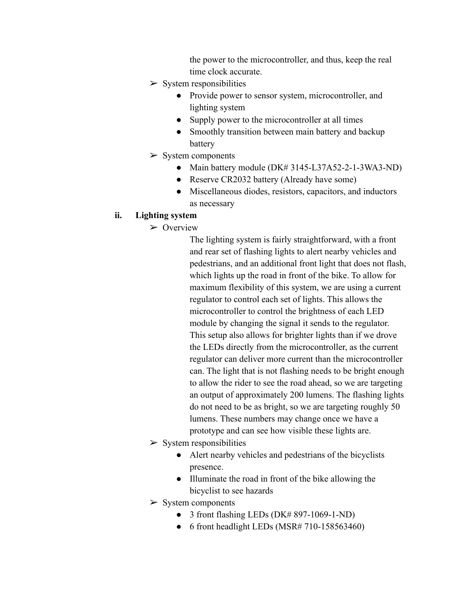the power to the microcontroller, and thus, keep the real time clock accurate.

- $\triangleright$  System responsibilities
	- Provide power to sensor system, microcontroller, and lighting system
	- Supply power to the microcontroller at all times
	- Smoothly transition between main battery and backup battery
- $>$  System components
	- Main battery module (DK# 3145-L37A52-2-1-3WA3-ND)
	- Reserve CR2032 battery (Already have some)
	- Miscellaneous diodes, resistors, capacitors, and inductors as necessary

## **ii. Lighting system**

 $\triangleright$  Overview

The lighting system is fairly straightforward, with a front and rear set of flashing lights to alert nearby vehicles and pedestrians, and an additional front light that does not flash, which lights up the road in front of the bike. To allow for maximum flexibility of this system, we are using a current regulator to control each set of lights. This allows the microcontroller to control the brightness of each LED module by changing the signal it sends to the regulator. This setup also allows for brighter lights than if we drove the LEDs directly from the microcontroller, as the current regulator can deliver more current than the microcontroller can. The light that is not flashing needs to be bright enough to allow the rider to see the road ahead, so we are targeting an output of approximately 200 lumens. The flashing lights do not need to be as bright, so we are targeting roughly 50 lumens. These numbers may change once we have a prototype and can see how visible these lights are.

- $\triangleright$  System responsibilities
	- Alert nearby vehicles and pedestrians of the bicyclists presence.
	- Illuminate the road in front of the bike allowing the bicyclist to see hazards
- $>$  System components
	- 3 front flashing LEDs  $(DK# 897-1069-1-ND)$
	- $\bullet$  6 front headlight LEDs (MSR# 710-158563460)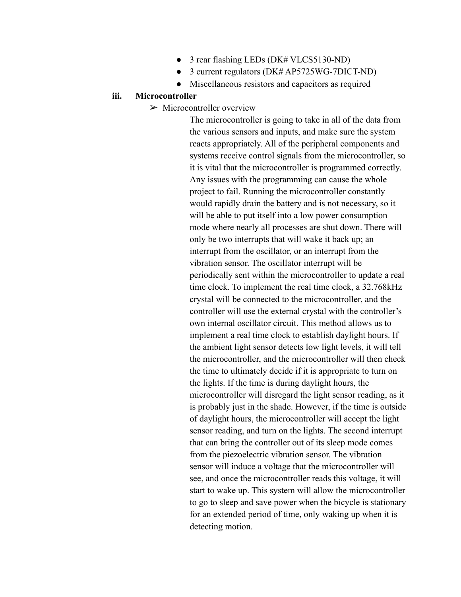- 3 rear flashing LEDs (DK# VLCS5130-ND)
- 3 current regulators (DK# AP5725WG-7DICT-ND)
- Miscellaneous resistors and capacitors as required

### **iii. Microcontroller**

 $\triangleright$  Microcontroller overview

The microcontroller is going to take in all of the data from the various sensors and inputs, and make sure the system reacts appropriately. All of the peripheral components and systems receive control signals from the microcontroller, so it is vital that the microcontroller is programmed correctly. Any issues with the programming can cause the whole project to fail. Running the microcontroller constantly would rapidly drain the battery and is not necessary, so it will be able to put itself into a low power consumption mode where nearly all processes are shut down. There will only be two interrupts that will wake it back up; an interrupt from the oscillator, or an interrupt from the vibration sensor. The oscillator interrupt will be periodically sent within the microcontroller to update a real time clock. To implement the real time clock, a 32.768kHz crystal will be connected to the microcontroller, and the controller will use the external crystal with the controller's own internal oscillator circuit. This method allows us to implement a real time clock to establish daylight hours. If the ambient light sensor detects low light levels, it will tell the microcontroller, and the microcontroller will then check the time to ultimately decide if it is appropriate to turn on the lights. If the time is during daylight hours, the microcontroller will disregard the light sensor reading, as it is probably just in the shade. However, if the time is outside of daylight hours, the microcontroller will accept the light sensor reading, and turn on the lights. The second interrupt that can bring the controller out of its sleep mode comes from the piezoelectric vibration sensor. The vibration sensor will induce a voltage that the microcontroller will see, and once the microcontroller reads this voltage, it will start to wake up. This system will allow the microcontroller to go to sleep and save power when the bicycle is stationary for an extended period of time, only waking up when it is detecting motion.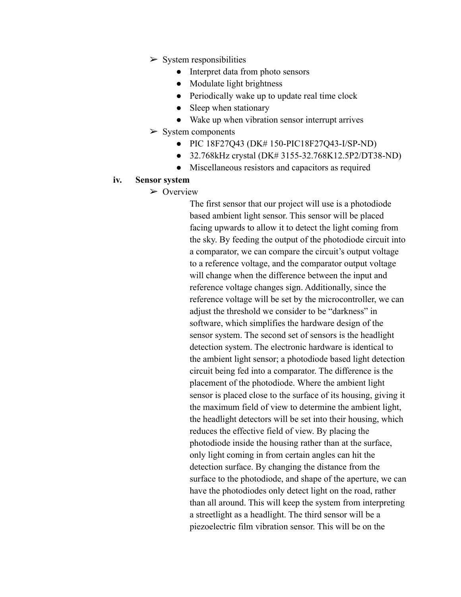- $\triangleright$  System responsibilities
	- Interpret data from photo sensors
	- Modulate light brightness
	- Periodically wake up to update real time clock
	- Sleep when stationary
	- Wake up when vibration sensor interrupt arrives
- $>$  System components
	- PIC 18F27Q43 (DK# 150-PIC18F27Q43-I/SP-ND)
	- 32.768kHz crystal (DK# 3155-32.768K12.5P2/DT38-ND)
	- Miscellaneous resistors and capacitors as required

### **iv. Sensor system**

➢ Overview

The first sensor that our project will use is a photodiode based ambient light sensor. This sensor will be placed facing upwards to allow it to detect the light coming from the sky. By feeding the output of the photodiode circuit into a comparator, we can compare the circuit's output voltage to a reference voltage, and the comparator output voltage will change when the difference between the input and reference voltage changes sign. Additionally, since the reference voltage will be set by the microcontroller, we can adjust the threshold we consider to be "darkness" in software, which simplifies the hardware design of the sensor system. The second set of sensors is the headlight detection system. The electronic hardware is identical to the ambient light sensor; a photodiode based light detection circuit being fed into a comparator. The difference is the placement of the photodiode. Where the ambient light sensor is placed close to the surface of its housing, giving it the maximum field of view to determine the ambient light, the headlight detectors will be set into their housing, which reduces the effective field of view. By placing the photodiode inside the housing rather than at the surface, only light coming in from certain angles can hit the detection surface. By changing the distance from the surface to the photodiode, and shape of the aperture, we can have the photodiodes only detect light on the road, rather than all around. This will keep the system from interpreting a streetlight as a headlight. The third sensor will be a piezoelectric film vibration sensor. This will be on the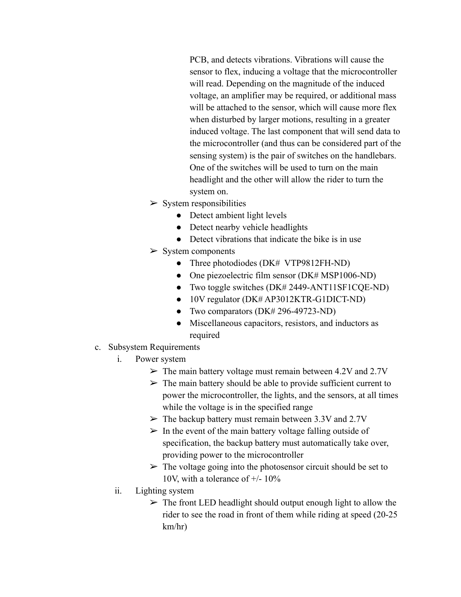PCB, and detects vibrations. Vibrations will cause the sensor to flex, inducing a voltage that the microcontroller will read. Depending on the magnitude of the induced voltage, an amplifier may be required, or additional mass will be attached to the sensor, which will cause more flex when disturbed by larger motions, resulting in a greater induced voltage. The last component that will send data to the microcontroller (and thus can be considered part of the sensing system) is the pair of switches on the handlebars. One of the switches will be used to turn on the main headlight and the other will allow the rider to turn the system on.

- $\triangleright$  System responsibilities
	- Detect ambient light levels
	- Detect nearby vehicle headlights
	- Detect vibrations that indicate the bike is in use
- $\triangleright$  System components
	- Three photodiodes (DK# VTP9812FH-ND)
	- One piezoelectric film sensor (DK# MSP1006-ND)
	- Two toggle switches (DK# 2449-ANT11SF1CQE-ND)
	- 10V regulator (DK# AP3012KTR-G1DICT-ND)
	- Two comparators (DK# 296-49723-ND)
	- Miscellaneous capacitors, resistors, and inductors as required
- c. Subsystem Requirements
	- i. Power system
		- $\triangleright$  The main battery voltage must remain between 4.2V and 2.7V
		- $\triangleright$  The main battery should be able to provide sufficient current to power the microcontroller, the lights, and the sensors, at all times while the voltage is in the specified range
		- $\triangleright$  The backup battery must remain between 3.3V and 2.7V
		- $\triangleright$  In the event of the main battery voltage falling outside of specification, the backup battery must automatically take over, providing power to the microcontroller
		- $\triangleright$  The voltage going into the photosensor circuit should be set to 10V, with a tolerance of  $+/- 10\%$
	- ii. Lighting system
		- $\triangleright$  The front LED headlight should output enough light to allow the rider to see the road in front of them while riding at speed (20-25 km/hr)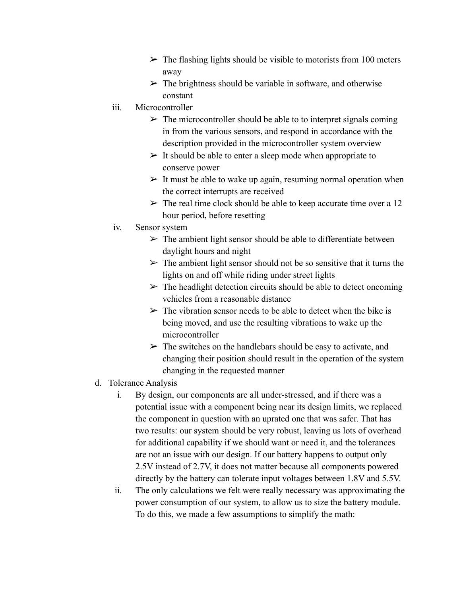- $\triangleright$  The flashing lights should be visible to motorists from 100 meters away
- $\triangleright$  The brightness should be variable in software, and otherwise constant
- iii. Microcontroller
	- $\triangleright$  The microcontroller should be able to to interpret signals coming in from the various sensors, and respond in accordance with the description provided in the microcontroller system overview
	- $\triangleright$  It should be able to enter a sleep mode when appropriate to conserve power
	- $\geq$  It must be able to wake up again, resuming normal operation when the correct interrupts are received
	- $\triangleright$  The real time clock should be able to keep accurate time over a 12 hour period, before resetting
- iv. Sensor system
	- $\triangleright$  The ambient light sensor should be able to differentiate between daylight hours and night
	- $\triangleright$  The ambient light sensor should not be so sensitive that it turns the lights on and off while riding under street lights
	- $\triangleright$  The headlight detection circuits should be able to detect oncoming vehicles from a reasonable distance
	- $\triangleright$  The vibration sensor needs to be able to detect when the bike is being moved, and use the resulting vibrations to wake up the microcontroller
	- $\triangleright$  The switches on the handlebars should be easy to activate, and changing their position should result in the operation of the system changing in the requested manner
- d. Tolerance Analysis
	- i. By design, our components are all under-stressed, and if there was a potential issue with a component being near its design limits, we replaced the component in question with an uprated one that was safer. That has two results: our system should be very robust, leaving us lots of overhead for additional capability if we should want or need it, and the tolerances are not an issue with our design. If our battery happens to output only 2.5V instead of 2.7V, it does not matter because all components powered directly by the battery can tolerate input voltages between 1.8V and 5.5V.
	- ii. The only calculations we felt were really necessary was approximating the power consumption of our system, to allow us to size the battery module. To do this, we made a few assumptions to simplify the math: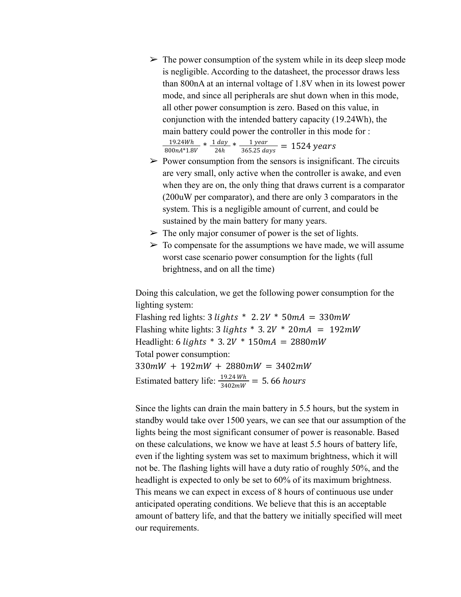$\triangleright$  The power consumption of the system while in its deep sleep mode is negligible. According to the datasheet, the processor draws less than 800nA at an internal voltage of 1.8V when in its lowest power mode, and since all peripherals are shut down when in this mode, all other power consumption is zero. Based on this value, in conjunction with the intended battery capacity (19.24Wh), the main battery could power the controller in this mode for :

$$
\frac{19.24Wh}{800nA*1.8V} * \frac{1 \, day}{24h} * \frac{1 \, year}{365.25 \, days} = 1524 \, years
$$

- $\triangleright$  Power consumption from the sensors is insignificant. The circuits are very small, only active when the controller is awake, and even when they are on, the only thing that draws current is a comparator (200uW per comparator), and there are only 3 comparators in the system. This is a negligible amount of current, and could be sustained by the main battery for many years.
- $\triangleright$  The only major consumer of power is the set of lights.
- $\triangleright$  To compensate for the assumptions we have made, we will assume worst case scenario power consumption for the lights (full brightness, and on all the time)

Doing this calculation, we get the following power consumption for the lighting system:

Flashing red lights: 3 *lights* \* 2.2V \* 50mA = 330mW Flashing white lights: 3 *lights* \* 3.  $2V * 20mA = 192mW$ Headlight: 6  $\text{lights} * 3.2V * 150mA = 2880mW$ Total power consumption:  $330 mW + 192 mW + 2880 mW = 3402 mW$ Estimated battery life:  $\frac{19.24 \text{ Wh}}{3402 \text{ mW}}$  = 5.66 hours

Since the lights can drain the main battery in 5.5 hours, but the system in standby would take over 1500 years, we can see that our assumption of the lights being the most significant consumer of power is reasonable. Based on these calculations, we know we have at least 5.5 hours of battery life, even if the lighting system was set to maximum brightness, which it will not be. The flashing lights will have a duty ratio of roughly 50%, and the headlight is expected to only be set to 60% of its maximum brightness. This means we can expect in excess of 8 hours of continuous use under anticipated operating conditions. We believe that this is an acceptable amount of battery life, and that the battery we initially specified will meet our requirements.